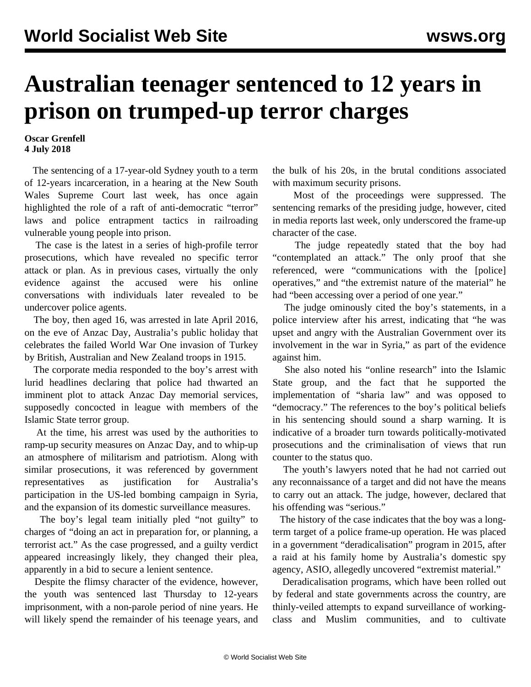## **Australian teenager sentenced to 12 years in prison on trumped-up terror charges**

## **Oscar Grenfell 4 July 2018**

 The sentencing of a 17-year-old Sydney youth to a term of 12-years incarceration, in a hearing at the New South Wales Supreme Court last week, has once again highlighted the role of a raft of anti-democratic "terror" laws and police entrapment tactics in railroading vulnerable young people into prison.

 The case is the latest in a series of high-profile terror prosecutions, which have revealed no specific terror attack or plan. As in previous cases, virtually the only evidence against the accused were his online conversations with individuals later revealed to be undercover police agents.

 The boy, then aged 16, was arrested in late April 2016, on the eve of Anzac Day, Australia's public holiday that celebrates the failed World War One invasion of Turkey by British, Australian and New Zealand troops in 1915.

 The corporate media responded to the boy's arrest with lurid headlines declaring that police had thwarted an imminent plot to attack Anzac Day memorial services, supposedly concocted in league with members of the Islamic State terror group.

 At the time, his arrest was used by the authorities to ramp-up security measures on Anzac Day, and to whip-up an atmosphere of militarism and patriotism. Along with similar prosecutions, it was referenced by government representatives as justification for Australia's participation in the US-led bombing campaign in Syria, and the expansion of its domestic surveillance measures.

 The boy's legal team initially pled "not guilty" to charges of "doing an act in preparation for, or planning, a terrorist act." As the case progressed, and a guilty verdict appeared increasingly likely, they changed their plea, apparently in a bid to secure a lenient sentence.

 Despite the flimsy character of the evidence, however, the youth was sentenced last Thursday to 12-years imprisonment, with a non-parole period of nine years. He will likely spend the remainder of his teenage years, and the bulk of his 20s, in the brutal conditions associated with maximum security prisons.

 Most of the proceedings were suppressed. The sentencing remarks of the presiding judge, however, cited in media reports last week, only underscored the frame-up character of the case.

 The judge repeatedly stated that the boy had "contemplated an attack." The only proof that she referenced, were "communications with the [police] operatives," and "the extremist nature of the material" he had "been accessing over a period of one year."

 The judge ominously cited the boy's statements, in a police interview after his arrest, indicating that "he was upset and angry with the Australian Government over its involvement in the war in Syria," as part of the evidence against him.

 She also noted his "online research" into the Islamic State group, and the fact that he supported the implementation of "sharia law" and was opposed to "democracy." The references to the boy's political beliefs in his sentencing should sound a sharp warning. It is indicative of a broader turn towards politically-motivated prosecutions and the criminalisation of views that run counter to the status quo.

 The youth's lawyers noted that he had not carried out any reconnaissance of a target and did not have the means to carry out an attack. The judge, however, declared that his offending was "serious."

 The history of the case indicates that the boy was a longterm target of a police frame-up operation. He was placed in a government "deradicalisation" program in 2015, after a raid at his family home by Australia's domestic spy agency, ASIO, allegedly uncovered "extremist material."

 Deradicalisation programs, which have been rolled out by federal and state governments across the country, are thinly-veiled attempts to expand surveillance of workingclass and Muslim communities, and to cultivate